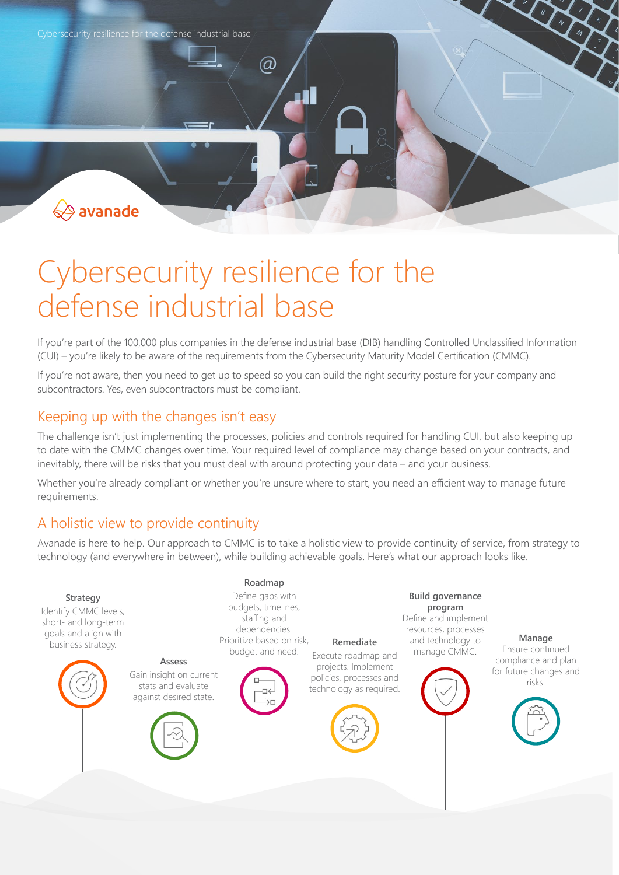

# Cybersecurity resilience for the defense industrial base

If you're part of the 100,000 plus companies in the defense industrial base (DIB) handling Controlled Unclassified Information (CUI) – you're likely to be aware of the requirements from the Cybersecurity Maturity Model Certification (CMMC).

If you're not aware, then you need to get up to speed so you can build the right security posture for your company and subcontractors. Yes, even subcontractors must be compliant.

## Keeping up with the changes isn't easy

The challenge isn't just implementing the processes, policies and controls required for handling CUI, but also keeping up to date with the CMMC changes over time. Your required level of compliance may change based on your contracts, and inevitably, there will be risks that you must deal with around protecting your data – and your business.

Whether you're already compliant or whether you're unsure where to start, you need an efficient way to manage future requirements.

## A holistic view to provide continuity

Avanade is here to help. Our approach to CMMC is to take a holistic view to provide continuity of service, from strategy to technology (and everywhere in between), while building achievable goals. Here's what our approach looks like.